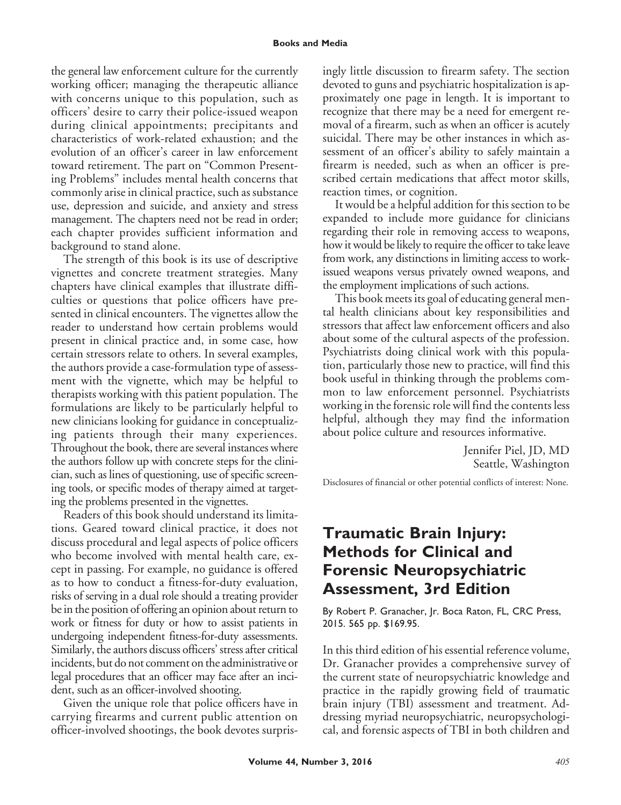## **Books and Media**

the general law enforcement culture for the currently working officer; managing the therapeutic alliance with concerns unique to this population, such as officers' desire to carry their police-issued weapon during clinical appointments; precipitants and characteristics of work-related exhaustion; and the evolution of an officer's career in law enforcement toward retirement. The part on "Common Presenting Problems" includes mental health concerns that commonly arise in clinical practice, such as substance use, depression and suicide, and anxiety and stress management. The chapters need not be read in order; each chapter provides sufficient information and background to stand alone.

The strength of this book is its use of descriptive vignettes and concrete treatment strategies. Many chapters have clinical examples that illustrate difficulties or questions that police officers have presented in clinical encounters. The vignettes allow the reader to understand how certain problems would present in clinical practice and, in some case, how certain stressors relate to others. In several examples, the authors provide a case-formulation type of assessment with the vignette, which may be helpful to therapists working with this patient population. The formulations are likely to be particularly helpful to new clinicians looking for guidance in conceptualizing patients through their many experiences. Throughout the book, there are several instances where the authors follow up with concrete steps for the clinician, such as lines of questioning, use of specific screening tools, or specific modes of therapy aimed at targeting the problems presented in the vignettes.

Readers of this book should understand its limitations. Geared toward clinical practice, it does not discuss procedural and legal aspects of police officers who become involved with mental health care, except in passing. For example, no guidance is offered as to how to conduct a fitness-for-duty evaluation, risks of serving in a dual role should a treating provider be in the position of offering an opinion about return to work or fitness for duty or how to assist patients in undergoing independent fitness-for-duty assessments. Similarly, the authors discuss officers' stress after critical incidents, but do not comment on the administrative or legal procedures that an officer may face after an incident, such as an officer-involved shooting.

Given the unique role that police officers have in carrying firearms and current public attention on officer-involved shootings, the book devotes surprisingly little discussion to firearm safety. The section devoted to guns and psychiatric hospitalization is approximately one page in length. It is important to recognize that there may be a need for emergent removal of a firearm, such as when an officer is acutely suicidal. There may be other instances in which assessment of an officer's ability to safely maintain a firearm is needed, such as when an officer is prescribed certain medications that affect motor skills, reaction times, or cognition.

It would be a helpful addition for this section to be expanded to include more guidance for clinicians regarding their role in removing access to weapons, how it would be likely to require the officer to take leave from work, any distinctions in limiting access to workissued weapons versus privately owned weapons, and the employment implications of such actions.

This book meets its goal of educating general mental health clinicians about key responsibilities and stressors that affect law enforcement officers and also about some of the cultural aspects of the profession. Psychiatrists doing clinical work with this population, particularly those new to practice, will find this book useful in thinking through the problems common to law enforcement personnel. Psychiatrists working in the forensic role will find the contents less helpful, although they may find the information about police culture and resources informative.

> Jennifer Piel, JD, MD Seattle, Washington

Disclosures of financial or other potential conflicts of interest: None.

## **Traumatic Brain Injury: Methods for Clinical and Forensic Neuropsychiatric Assessment, 3rd Edition**

By Robert P. Granacher, Jr. Boca Raton, FL, CRC Press, 2015. 565 pp. \$169.95.

In this third edition of his essential reference volume, Dr. Granacher provides a comprehensive survey of the current state of neuropsychiatric knowledge and practice in the rapidly growing field of traumatic brain injury (TBI) assessment and treatment. Addressing myriad neuropsychiatric, neuropsychological, and forensic aspects of TBI in both children and